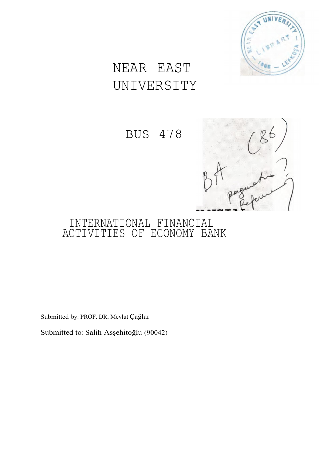

# NEAR EAST UNIVERSITY

BUS 478



# INTERNATIONAL FINANCIAL ACTIVITIES OF ECONOMY BANK

Submitted by: PROF. DR. Mevlüt Çağlar

Submitted to: Salih Asşehitoğlu (90042)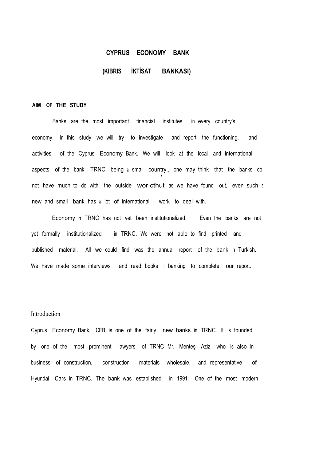# **CYPRUS ECONOMY BANK**

# **(KIBRIS İKTİSAT BANKASI)**

#### **AIM OF THE STUDY**

Banks are the most important financial institutes in every country's economy. In this study we will try to investigate and report the functioning, and activities of the Cyprus Economy Bank. We will look at the local and international aspects of the bank. TRNC, being <sup>a</sup> small country.,- one may think that the banks do *I* not have much to do with the outside worıcthut as we have found out, even such <sup>a</sup> new and small bank has <sup>a</sup> lot of international work to deal with.

Economy in TRNC has not yet been institutionalized. Even the banks are not yet formally institutionalized in TRNC. We were not able to find printed and published material. All we could find was the annual report of the bank in Turkish. We have made some interviews and read books n banking to complete our report.

# Introduction

Cyprus Economy Bank, CEB is one of the fairly new banks in TRNC. It is founded by one of the most prominent lawyers of TRNC Mr. Menteş Aziz, who is also in business of construction, construction materials wholesale, and representative of Hyundai Cars in TRNC. The bank was established in 1991. One of the most modern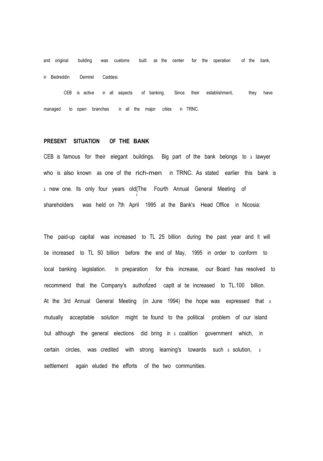and original building was customs built as the center for the operation of the bank, in Bedreddin Demirel Caddesi.

CEB is active in all aspects of banking. Since their establishment, managed to open branches in all the major cities in TRNC. they have

#### **PRESENT SITUATION OF THE BANK**

CEB is famous for their elegant buildings. Big part of the bank belongs to <sup>a</sup> lawyer who is also known as one of the rich-men in TRNC. As stated earlier this bank is <sup>a</sup> new one. Its only four years old{The Fourth Annual General Meeting of *I* shareholders was held on 7th April 1995 at the Bank's Head Office in Nicosia:

The paid-up capital was increased to TL 25 billion during the past year and It will be increased to TL 50 billion before the end of May, 1995 in order to conform to local banking legislation. In preparation for this increase, our Board has resolved to *J* recommend that the Company's authofized captt al be increased to TL.100 billion. At the 3rd Annual General Meeting (in June 1994) the hope was expressed that <sup>a</sup> mutually acceptable solution might be found to the political problem of our island but although the general elections did bring in <sup>a</sup> coalition government which, in certain circles, was credited with strong learning's towards such <sup>a</sup> solution, <sup>a</sup> settlement again eluded the efforts of the two communities.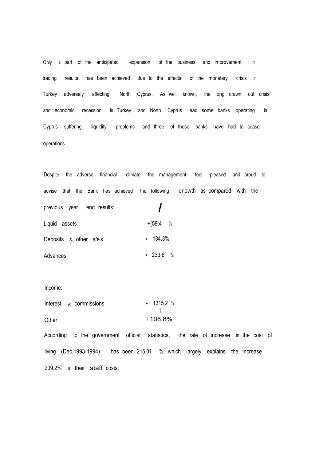Only a part of the anticipated expansion of the business and improvement in trading results has been achieved due to the effects of the monetary crisis in Turkey adversely affecting North Cyprus. As well known, the long drawn out crisis and economic recession in Turkey and North Cyprus lead some banks operating in Cyprus suffering liquidity problems and three of those banks have had to cease operations.

Despite the adverse financial climate the management feel pleased and proud to advise that the Bank has achieved the following qr owth as compared with the previous year· end results: *I* Liquid assets  $+(58.4 \t%$ Deposits  $\&$  other a/e's  $+$  134.3% Advances + 233.6 %

#### Income:

|       | Interest $\&$ commissions | $+ 1315.2$ % |
|-------|---------------------------|--------------|
|       |                           |              |
| Other |                           | $+108.8%$    |

According to the government official statistics, the rate of increase in the cost of living (Dec.1993-1994) has been 215.01 %, which largely explains the increase 209.2% in their staff costs.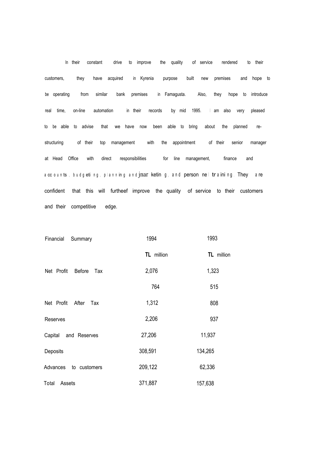In their constant drive to improve the quality of service rendered to their customers, they have acquired in Kyrenia purpose built new premises and hope to be operating from similar bank premises in Famagusta. Also, they hope to introduce real time, on-line automation in their records by mid 1995. <sup>I</sup> am also very pleased to be able to advise that we have now been able to bring about the planned restructuring of their top management with the appointment of their senior manager at Head Office with direct responsibilities for line management, finance and a cc o un ts, budg eting, planning and jnar keting, and person nel training. They are confident that this will furtheef improve the quality of service to their customers and their competitive edge.

| Financial<br>Summary        | 1994       | 1993       |
|-----------------------------|------------|------------|
|                             | TL million | TL million |
| Net Profit<br>Before<br>Tax | 2,076      | 1,323      |
|                             | 764        | 515        |
| Net Profit After<br>Tax     | 1,312      | 808        |
| Reserves                    | 2,206      | 937        |
| Capital<br>and Reserves     | 27,206     | 11,937     |
| Deposits                    | 308,591    | 134,265    |
| Advances to customers       | 209,122    | 62,336     |
| Assets<br>Total             | 371,887    | 157,638    |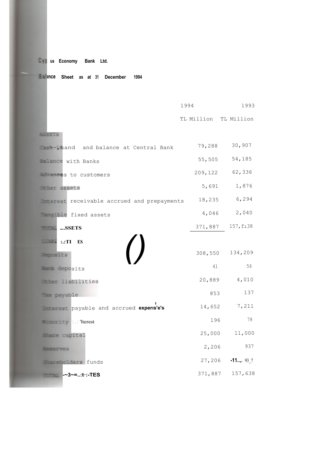# **us Economy Bank Ltd.**

# **Sheet as at 31 December 1994**

|                                                      | 1994    |                        |
|------------------------------------------------------|---------|------------------------|
|                                                      |         | TL Million TL Million  |
| <b>ASSETS</b>                                        |         |                        |
| <b>Example 20</b> , hand and balance at Central Bank | 79,288  | 30,907                 |
| <b>Elance</b> with Banks                             |         | 54,185<br>55,505       |
| <b>EXECS to customers</b>                            | 209,122 | 62,336                 |
| <b>Exassets</b>                                      |         | 1,876<br>5,691         |
| <b>Example 20</b> receivable accrued and prepayments | 18,235  | 6,294                  |
| <b>Example</b> fixed assets                          |         | 4,046<br>2,040         |
| SSETS                                                | 371,887 | 157, f138              |
| ::TI<br>ES                                           |         |                        |
| $\overline{1}$<br>Deposits                           |         | 134,209<br>308,550     |
| <b>Except deposits</b>                               |         | 56<br>41               |
| <b>Example 1:abilities</b>                           | 20,889  | 4,010                  |
| <b>Tax payable</b>                                   |         | 137<br>853             |
| payable and accrued experis'e's                      |         | 7,211<br>14,652        |
| <b>Executive</b> : : : lerest                        |         | 78<br>196              |
| Share capital                                        |         | 11,000<br>25,000       |
| <b>Beserves</b>                                      |         | 937<br>2,206           |
| <b>Example 2</b> ders funds                          |         | $-11$ , 93 7<br>27,206 |
| -~3~=:t·:-TES                                        |         | 157,638<br>371,887     |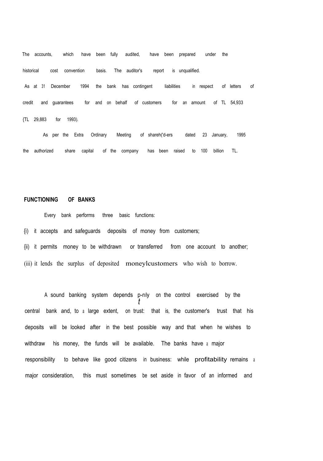The accounts, which have been fully audited, have been prepared under the historical cost convention basis. The auditor's report is unqualified. As at 31 December 1994 the bank has contingent liabilities in respect of letters of credit and guarantees for and on behalf of customers for an amount of TL 54,933 {TL 29,883 for 1993).

As per the Extra Ordinary Meeting of shareh('d-ers dated 23 January, 1995 the authorized share capital of the company has been raised to 100 billion TL.

# **FUNCTIONING OF BANKS**

Every bank performs three basic functions: {i) it accepts and safeguards deposits of money from customers; {ii) it permits money to be withdrawn or transferred from one account to another; (iii) it lends the surplus of deposited moneylcustomers who wish to borrow.

A sound banking system depends p-rıly on the control exercised by the *t* central bank and, to <sup>a</sup> large extent, on trust: that is, the customer's trust that his deposits will be looked after in the best possible way and that when he wishes to withdraw his money, the funds will be available. The banks have <sup>a</sup> major responsibility to behave like good citizens in business: while profitability remains <sup>a</sup> major consideration, this must sometimes be set aside in favor of an informed and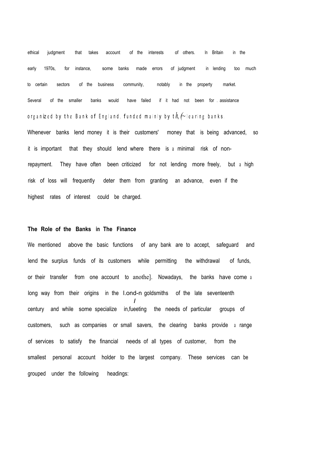ethical judgment that takes account of the interests of others. In Britain in the early 1970s, for instance, some banks made errors of judgment in lending too much to certain sectors of the business community, notably in the property market. Several of the smaller banks would have failed if it had not been for . assistance org an ized by the Bank of England, funded mainly by t $h$ ,  $\curvearrowright$  learing banks.

Whenever banks lend money it is their customers' money that is being advanced, so it is important that they should lend where there is a minimal risk of nonrepayment. They have often been criticized for not lending more freely, but <sup>a</sup> high risk of loss will frequently deter them from granting an advance, even if the highest rates of interest could be charged.

# **The Role of the Banks in The Finance**

We mentioned above the basic functions of any bank are to accept, safeguard and lend the surplus funds of its customers while permitting the withdrawal of funds, or their transfer from one account to anothe]. Nowadays, the banks have come <sup>a</sup> long way from their origins in the l.ond-n goldsmiths of the late seventeenth *I* century and while some specialize in,fueeting the needs of particular groups of customers, such as companies or small savers, the clearing banks provide <sup>a</sup> range of services to satisfy the financial needs of all types of customer, from the smallest personal account holder to the largest company. These services can be grouped under the following headings: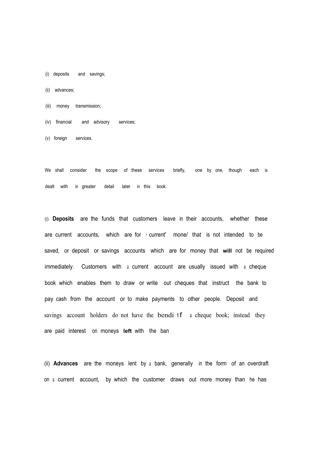- (i) deposits and savings;
- (ii) advances;
- (iii) money transmission;
- (iv) financial and advisory services;
- (v) foreign services.

We shall consider the scope of these services briefly, one by one, though each is dealt with in greater detail later in this book.

(i) **Deposits** are the funds that customers leave in their accounts, whether these are current accounts, which are for • current' mone/ that is not intended to be saved, or deposit or savings accounts which are for money that **will** not be required immediately. Customers with a current account are usually issued with a cheque book which enables them to draw or write out cheques that instruct the bank to pay cash from the account or to make payments to other people. Deposit and savings account holders do not have the bendi 1<sup>f</sup> a cheque book; instead they are paid interest on moneys **left** with the ban

(ii) **Advances** are the moneys lent by a bank, generally in the form of an overdraft on a current account, by which the customer draws out more money than he has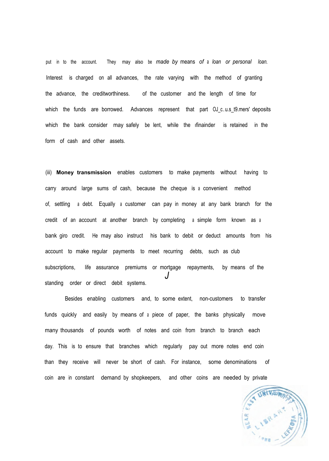put in to the account. They may also be *made by* means *of* <sup>a</sup> *loan or personal loan.* Interest is charged on all advances, the rate varying with the method of granting the advance, the creditworthiness. of the customer and the length of time for which the funds are borrowed. Advances represent that part OJ c..u.s t9.mers' deposits which the bank consider may safely be lent, while the ifinainder is retained in the form of cash and other assets.

(iii) **Money transmission** enables customers to make payments without having to carry around large sums of cash, because the cheque is <sup>a</sup> convenient method of, settling <sup>a</sup> debt. Equally <sup>a</sup> customer can pay in money at any bank branch for the credit of an account at another branch by completing <sup>a</sup> simple form known as <sup>a</sup> bank giro credit. He may also instruct his bank to debit or deduct amounts from his account to make regular payments to meet recurring debts, such as club subscriptions, life assurance premiums or mortgage repayments, by means of the *J* standing order or direct debit systems.

Besides enabling customers and, to some extent, non-customers to transfer funds quickly and easily by means of <sup>a</sup> piece of paper, the banks physically move many thousands of pounds worth of notes and coin from branch to branch each day. This is to ensure that branches which regularly pay out more notes end coin than they receive will never be short of cash. For instance, some denominations of coin are in constant demand by shopkeepers, and other coins are needed by private

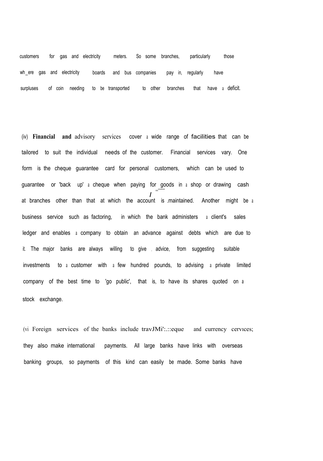customers for gas and electricity meters. So some branches, particularly those wh ere gas and electricity boards and bus companies pay in, regularly have surpluses of coin needing to be transported to other branches that have a deficit.

(iv) **Financial and** advisory services cover <sup>a</sup> wide range of facilities that can be tailored to suit the individual needs of the customer. Financial services vary. One form is the cheque guarantee card for personal customers, which can be used to guarantee or 'back up' <sup>a</sup> cheque when paying for goods in <sup>a</sup> shop or drawing cash *I* at branches other than that at which the account is .maintained. Another might be <sup>a</sup> ,,,----- business service such as factoring, in which the bank administers <sup>a</sup> client's sales ledger and enables <sup>a</sup> company to obtain an advance against debts which are due to it. The major banks are always willing to give , advice, from suggesting suitable investments to <sup>a</sup> customer with <sup>a</sup> few hundred pounds, to advising a private limited company of the best time to 'go public', that is, to have its shares quoted on <sup>a</sup> stock exchange.

(vi Foreign services of the banks include travJMi':.::eque and currency cervıces; they also make international payments. All large banks have links with overseas banking groups, so payments of this kind can easily be made. Some banks have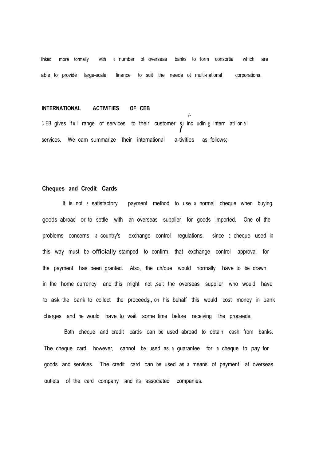linked more tormally with a number ot overseas banks to form consortia which are able to provide large-scale finance to suit the needs ot multi-national corporations.

*I-*

#### **INTERNATIONAL ACTIVITIES OF CEB**

CEB gives full range of services to their customer s, includin g intern ati on al<br> *I* services. We cam summarize their international a-tivities as follows;

# **Cheques and Credit Cards**

It is not <sup>a</sup> satisfactory payment method to use <sup>a</sup> normal cheque when buying goods abroad or to settle with an overseas supplier for goods imported. One of the problems concerns <sup>a</sup> country's exchange control regulations, since <sup>a</sup> cheque used in this way must be officially stamped to confirm that exchange control approval for the payment has been granted. Also, the ch/que would normally have to be drawn in the home currency and this might not ,suit the overseas supplier who would have to ask the bank to collect the proceedş,, on his behalf this would cost money in bank charges and he would have to wait some time before receiving the proceeds.

Both cheque and credit cards can be used abroad to obtain cash from banks. The cheque card, however, cannot be used as <sup>a</sup> guarantee for <sup>a</sup> cheque to pay for goods and services. The credit card can be used as <sup>a</sup> means of payment at overseas outlets of the card company and its associated companies.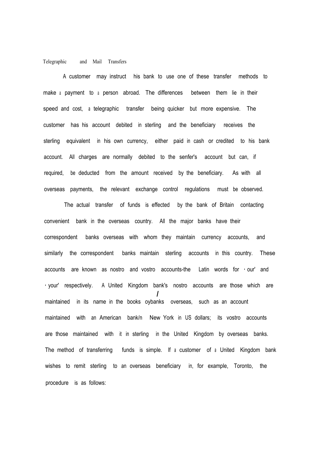#### Telegraphic and Mail Transfers

A customer may instruct his bank to use one of these transfer methods to make <sup>a</sup> payment to <sup>a</sup> person abroad. The differences between them lie in their speed and cost, <sup>a</sup> telegraphic transfer being quicker but more expensive. The customer has his account debited in sterling and the beneficiary receives the sterling equivalent in his own currency, either paid in cash or credited to his bank account. All charges are normally debited to the senfer's account but can, if required, be deducted from the amount received by the beneficiary. As with all overseas payments, the relevant exchange control regulations must be observed.

The actual transfer of funds is effected by the bank of Britain contacting convenient bank in the overseas country. All the major banks have their correspondent banks overseas with whom they maintain currency accounts, and similarly the correspondent banks maintain sterling accounts in this country. These accounts are known as nostro and vostro accounts-the Latin words for • our' and • your' respectively. A United Kingdom bank's nostro accounts are those which are *I* maintained in its name in the books oybanks overseas, such as an account maintained with an American bank/n New York in US dollars; its vostro accounts are those maintained with it in sterling in the United Kingdom by overseas banks. The method of transferring funds is simple. If <sup>a</sup> customer of <sup>a</sup> United Kingdom bank wishes to remit sterling to an overseas beneficiary in, for example, Toronto, the procedure is as follows: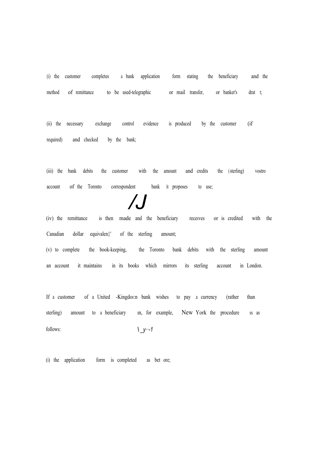(i) the customer completes <sup>a</sup> bank application form stating the beneficiary and the method of remittance to be used-telegraphic or mail transfer, or banker's drat t;

(ii) the necessary exchange control evidence is produced by the customer (if required) and checked by the bank;

(iii) the bank debits the customer with the amount and credits the (sterling) vostro account of the Toronto correspondent bank it proposes to use;

*/J*

(iv) the remittance is then made and the beneficiary receıves or is credited with the Canadian dollar equivalen}' of the sterling amount;

(v) to complete the book-keeping, the Toronto bank debits with the sterling amount an account it maintains in its books which mirrors its sterling account in London.

If a customer of a United -Kingdoı:n bank wishes to pay a currency (rather than sterling) amount to a beneficiary in, for example, New York the procedure is as follows: *\ \_y··-1*

(i) the application form is completed as bet ore;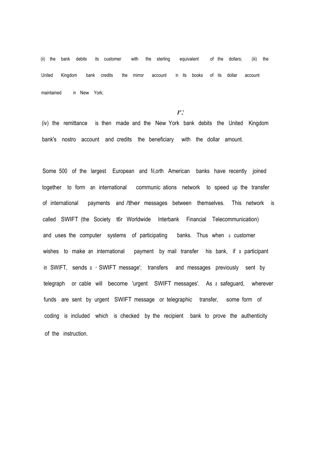(ii) the bank debits its customer with the sterling equivalent of the dollars; (iii) the United Kingdom bank credits the mirror account in its books of its dollar account maintained in New York;

*r:*

(iv) the remittance is then made and the New York bank debits the United Kingdom bank's nostro account and credits the beneficiary with the dollar amount.

Some 500 of the largest European and fıl,orth American banks have recently joined together to form an international communic ations network to speed up the transfer of international payments and /ther messages between themselves. This network is called SWIFT (the Society t6r Worldwide Interbank Financial Telecommunication) and uses the computer systems of participating banks. Thus when <sup>a</sup> customer wishes to make an international payment by mail transfer his bank, if <sup>a</sup> participant in SWIFT, sends <sup>a</sup> • SWIFT message'; transfers and messages previously sent by telegraph or cable will become 'urgent SWIFT messages'. As <sup>a</sup> safeguard, wherever funds are sent by urgent SWIFT message or telegraphic transfer, some form of coding is included which is checked by the recipient bank to prove the authenticity of the instruction.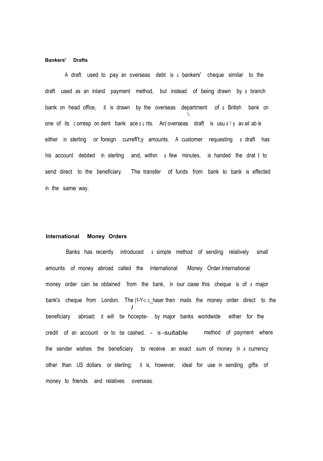#### **Bankers' Drafts**

A draft used to pay an overseas debt is <sup>a</sup> bankers' cheque similar to the draft used as an inland payment method, but instead of being drawn by <sup>a</sup> branch bank on head office, it is drawn by the overseas department of <sup>a</sup> British bank on \. one of its c orresp on dent bank ace ounts. Ar (overseas draft is usu a thy av ail ab le either in sterling or foreign currefl't:y amounts. A customer requesting <sup>a</sup> draft has his account debited in sterling and, within <sup>a</sup> few minutes, is handed the drat t to send direct to the beneficiary. The transfer of funds from bank to bank is effected in the same way.

#### **International Money Orders**

Banks has recently introduced <sup>a</sup> simple method of sending relatively small amounts of money abroad called the International Money Order.International money order can be obtained from the bank, in our case this cheque is of <sup>a</sup> major bank's cheque from London. The  $]1-Y$ - $1:1$ ; haser then mails the money order direct to the *I* beneficiary abroad; it will be hccepte- by major banks worldwide either for the credit of an account or to be cashed. - is -suitable method of payment where the sender wishes the beneficiary to receive an exact sum of money in <sup>a</sup> currency other than US dollars or sterling; it is, however, ideal for use in sending gifts of money to friends and relatives overseas.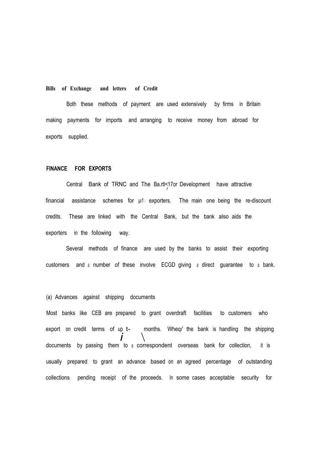#### **Bills of Exchange and letters of Credit**

Both these methods of payment are used extensively by firms in Britain making payments for imports and arranging to receive money from abroad for exports supplied.

#### **FINANCE FOR EXPORTS**

Central Bank of TRNC and The Ba.rtl<17or Development have attractive *I* financial assistance schemes for  $\mu$ 1 exporters. The main one being the re-discount credits. These are linked with the Central Bank, but the bank also aids the exporters in the following way.

Several methods of finance are used by the banks to assist their exporting customers and <sup>a</sup> number of these involve ECGD giving a direct guarantee to a bank.

# (a) Advances against shipping documents

Most banks like CEB are prepared to grant overdraft facilities to customers who export on credit terms of up t- months. Wheqi' the bank is handling the shipping documents by passing them to a correspondent overseas bank for collection, it is usually prepared to grant an advance based on an agreed percentage of outstanding collections pending receipt of the proceeds. In some cases acceptable security for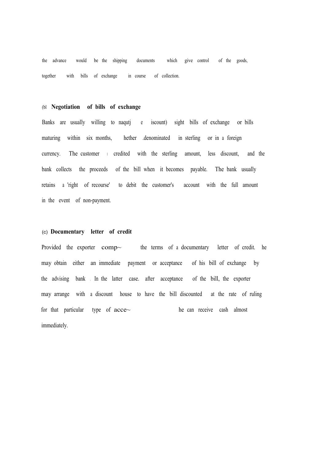the advance would be the shipping documents which give control of the goods, together with bills of exchange in course of collection.

# (bl **Negotiation of bills of exchange**

Banks are usually willing to naqutj e iscount) sight bills of exchange or bills maturing within six months, hether .denominated in sterling or in <sup>a</sup> foreign currency. The customer <sup>ı</sup> credited with the sterling amount, less discount, and the bank collects the proceeds of the bill when it becomes payable. The bank usually retains <sup>a</sup> 'right of recourse' to debit the customer's account with the full amount in the event of non-payment.

#### (c) **Documentary letter of credit**

Provided the exporter comp~ the terms of a documentary letter of credit. he may obtain either an immediate payment or acceptance of his bill of exchange by the advising bank . In the latter case. after acceptance of the bill, the exporter may arrange with a discount house to have the bill discounted at the rate of ruling for that particular type of  $\text{acce}\sim$ immediately. he can receive cash almost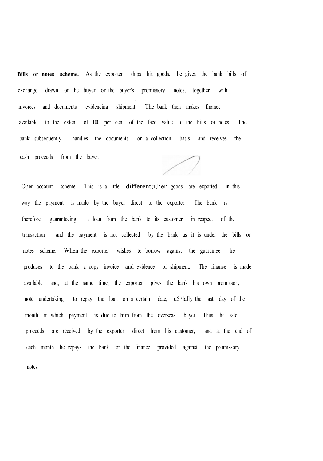**Bills or notes scheme.** As the exporter ships his goods, he gives the bank bills of exchange drawn on the buyer or the buyer's promissory notes, together with (. ınvoıces and documents evidencing shipment. The bank then makes finance available to the extent of 100 per cent of the face value of the bills or notes. The bank subsequently handles the documents on a collection basis and receives the cash proceeds from the buyer.

Open account scheme. This is <sup>a</sup> little different;ı,hen goods are exported in this way the payment is made by the buyer direct to the exporter. The bank ıs therefore guaranteeing a loan from the bank to its customer in respect of the transaction and the payment is not collected by the bank as it is under the bills or notes scheme. When the exporter wishes to borrow against the guarantee he produces to the bank a copy invoice and evidence of shipment. The finance is made available and, at the same time, the exporter gives the bank his own promıssory note undertaking to repay the loan on <sup>a</sup> certain date, u5'\lally the last day of the month in which payment is due to him from the overseas buyer. Thus the sale proceeds are received by the exporter direct from his customer, and at the end of each month he repays the bank for the finance provided against the promıssory notes.